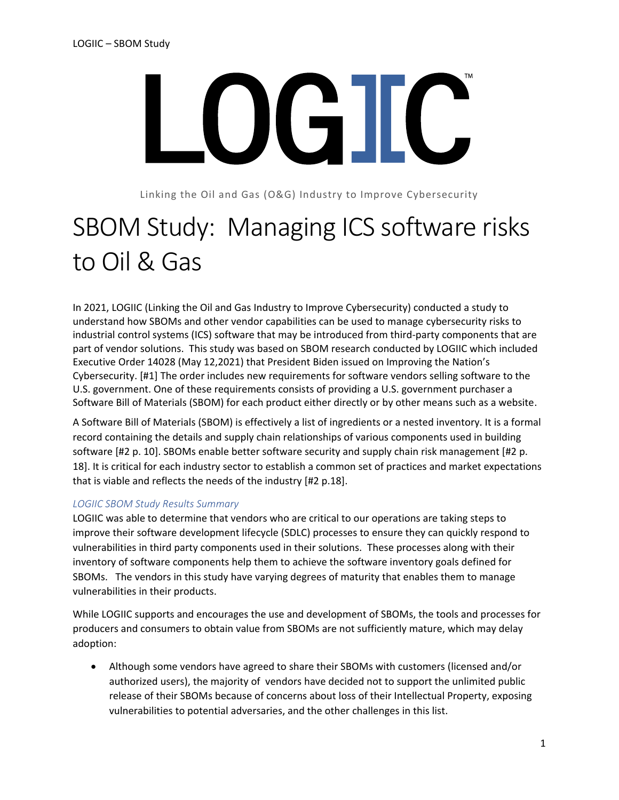

Linking the Oil and Gas (O&G) Industry to Improve Cybersecurity

# SBOM Study: Managing ICS software risks to Oil & Gas

In 2021, LOGIIC (Linking the Oil and Gas Industry to Improve Cybersecurity) conducted a study to understand how SBOMs and other vendor capabilities can be used to manage cybersecurity risks to industrial control systems (ICS) software that may be introduced from third-party components that are part of vendor solutions. This study was based on SBOM research conducted by LOGIIC which included Executive Order 14028 (May 12,2021) that President Biden issued on Improving the Nation's Cybersecurity. [#1] The order includes new requirements for software vendors selling software to the U.S. government. One of these requirements consists of providing a U.S. government purchaser a Software Bill of Materials (SBOM) for each product either directly or by other means such as a website.

A Software Bill of Materials (SBOM) is effectively a list of ingredients or a nested inventory. It is a formal record containing the details and supply chain relationships of various components used in building software [#2 p. 10]. SBOMs enable better software security and supply chain risk management [#2 p. 18]. It is critical for each industry sector to establish a common set of practices and market expectations that is viable and reflects the needs of the industry [#2 p.18].

## *LOGIIC SBOM Study Results Summary*

LOGIIC was able to determine that vendors who are critical to our operations are taking steps to improve their software development lifecycle (SDLC) processes to ensure they can quickly respond to vulnerabilities in third party components used in their solutions. These processes along with their inventory of software components help them to achieve the software inventory goals defined for SBOMs. The vendors in this study have varying degrees of maturity that enables them to manage vulnerabilities in their products.

While LOGIIC supports and encourages the use and development of SBOMs, the tools and processes for producers and consumers to obtain value from SBOMs are not sufficiently mature, which may delay adoption:

• Although some vendors have agreed to share their SBOMs with customers (licensed and/or authorized users), the majority of vendors have decided not to support the unlimited public release of their SBOMs because of concerns about loss of their Intellectual Property, exposing vulnerabilities to potential adversaries, and the other challenges in this list.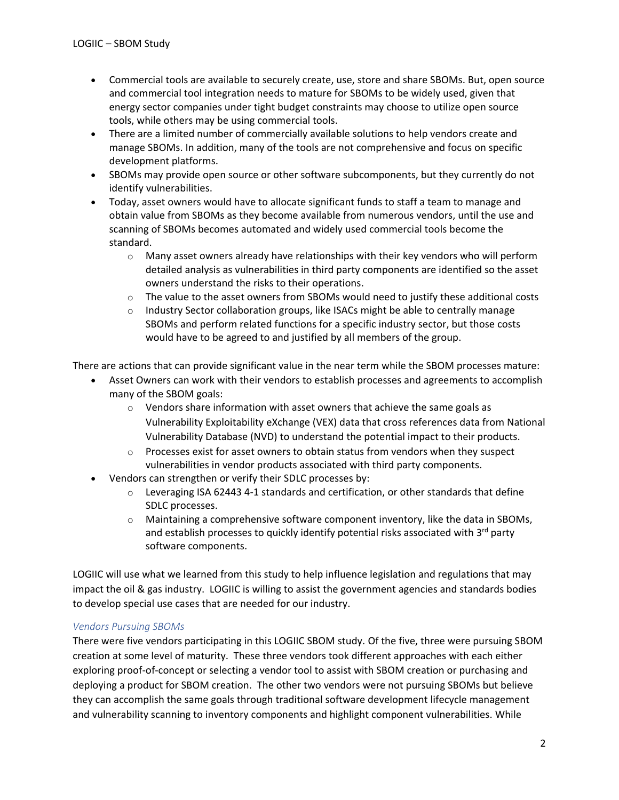- Commercial tools are available to securely create, use, store and share SBOMs. But, open source and commercial tool integration needs to mature for SBOMs to be widely used, given that energy sector companies under tight budget constraints may choose to utilize open source tools, while others may be using commercial tools.
- There are a limited number of commercially available solutions to help vendors create and manage SBOMs. In addition, many of the tools are not comprehensive and focus on specific development platforms.
- SBOMs may provide open source or other software subcomponents, but they currently do not identify vulnerabilities.
- Today, asset owners would have to allocate significant funds to staff a team to manage and obtain value from SBOMs as they become available from numerous vendors, until the use and scanning of SBOMs becomes automated and widely used commercial tools become the standard.
	- $\circ$  Many asset owners already have relationships with their key vendors who will perform detailed analysis as vulnerabilities in third party components are identified so the asset owners understand the risks to their operations.
	- $\circ$  The value to the asset owners from SBOMs would need to justify these additional costs
	- $\circ$  Industry Sector collaboration groups, like ISACs might be able to centrally manage SBOMs and perform related functions for a specific industry sector, but those costs would have to be agreed to and justified by all members of the group.

There are actions that can provide significant value in the near term while the SBOM processes mature:

- Asset Owners can work with their vendors to establish processes and agreements to accomplish many of the SBOM goals:
	- $\circ$  Vendors share information with asset owners that achieve the same goals as Vulnerability Exploitability eXchange (VEX) data that cross references data from National Vulnerability Database (NVD) to understand the potential impact to their products.
	- $\circ$  Processes exist for asset owners to obtain status from vendors when they suspect vulnerabilities in vendor products associated with third party components.
- Vendors can strengthen or verify their SDLC processes by:
	- $\circ$  Leveraging ISA 62443 4-1 standards and certification, or other standards that define SDLC processes.
	- $\circ$  Maintaining a comprehensive software component inventory, like the data in SBOMs, and establish processes to quickly identify potential risks associated with  $3<sup>rd</sup>$  party software components.

LOGIIC will use what we learned from this study to help influence legislation and regulations that may impact the oil & gas industry. LOGIIC is willing to assist the government agencies and standards bodies to develop special use cases that are needed for our industry.

## *Vendors Pursuing SBOMs*

There were five vendors participating in this LOGIIC SBOM study. Of the five, three were pursuing SBOM creation at some level of maturity. These three vendors took different approaches with each either exploring proof-of-concept or selecting a vendor tool to assist with SBOM creation or purchasing and deploying a product for SBOM creation. The other two vendors were not pursuing SBOMs but believe they can accomplish the same goals through traditional software development lifecycle management and vulnerability scanning to inventory components and highlight component vulnerabilities. While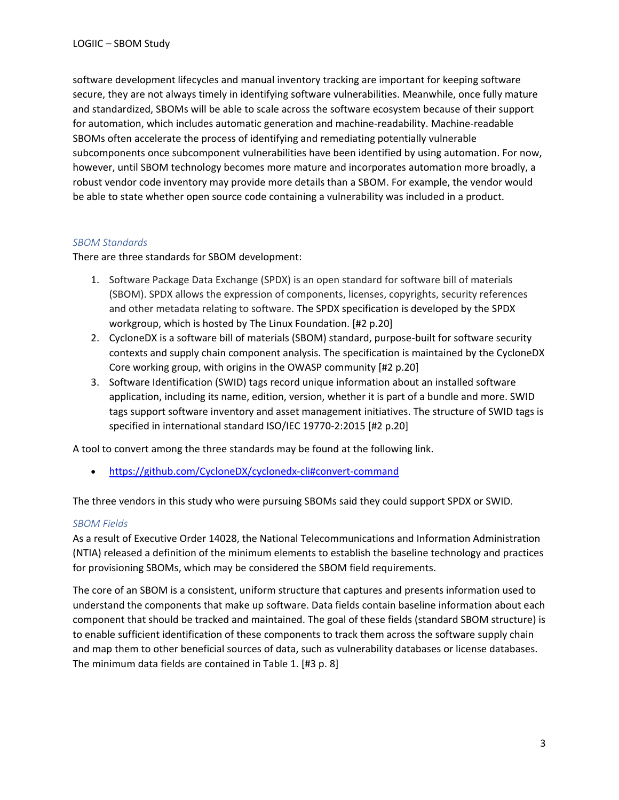software development lifecycles and manual inventory tracking are important for keeping software secure, they are not always timely in identifying software vulnerabilities. Meanwhile, once fully mature and standardized, SBOMs will be able to scale across the software ecosystem because of their support for automation, which includes automatic generation and machine-readability. Machine-readable SBOMs often accelerate the process of identifying and remediating potentially vulnerable subcomponents once subcomponent vulnerabilities have been identified by using automation. For now, however, until SBOM technology becomes more mature and incorporates automation more broadly, a robust vendor code inventory may provide more details than a SBOM. For example, the vendor would be able to state whether open source code containing a vulnerability was included in a product.

## *SBOM Standards*

There are three standards for SBOM development:

- 1. Software Package Data Exchange (SPDX) is an open standard for software bill of materials (SBOM). SPDX allows the expression of components, licenses, copyrights, security references and other metadata relating to software. The SPDX specification is developed by the SPDX workgroup, which is hosted by The Linux Foundation. [#2 p.20]
- 2. CycloneDX is a software bill of materials (SBOM) standard, purpose-built for software security contexts and supply chain component analysis. The specification is maintained by the CycloneDX Core working group, with origins in the OWASP community [#2 p.20]
- 3. Software Identification (SWID) tags record unique information about an installed software application, including its name, edition, version, whether it is part of a bundle and more. SWID tags support software inventory and asset management initiatives. The structure of SWID tags is specified in international standard ISO/IEC 19770-2:2015 [#2 p.20]

A tool to convert among the three standards may be found at the following link.

• <https://github.com/CycloneDX/cyclonedx-cli#convert-command>

The three vendors in this study who were pursuing SBOMs said they could support SPDX or SWID.

## *SBOM Fields*

As a result of Executive Order 14028, the National Telecommunications and Information Administration (NTIA) released a definition of the minimum elements to establish the baseline technology and practices for provisioning SBOMs, which may be considered the SBOM field requirements.

The core of an SBOM is a consistent, uniform structure that captures and presents information used to understand the components that make up software. Data fields contain baseline information about each component that should be tracked and maintained. The goal of these fields (standard SBOM structure) is to enable sufficient identification of these components to track them across the software supply chain and map them to other beneficial sources of data, such as vulnerability databases or license databases. The minimum data fields are contained in Table 1. [#3 p. 8]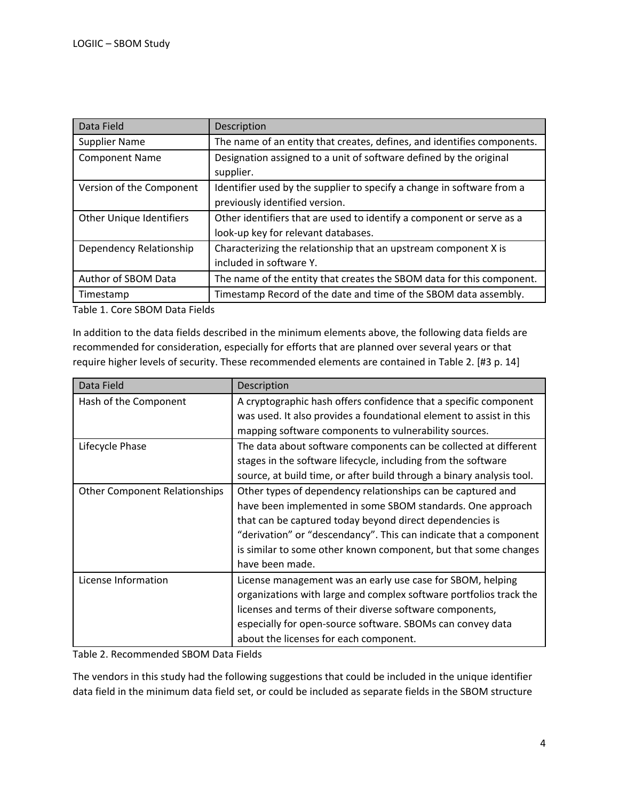| Data Field                      | Description                                                             |
|---------------------------------|-------------------------------------------------------------------------|
| <b>Supplier Name</b>            | The name of an entity that creates, defines, and identifies components. |
| <b>Component Name</b>           | Designation assigned to a unit of software defined by the original      |
|                                 | supplier.                                                               |
| Version of the Component        | Identifier used by the supplier to specify a change in software from a  |
|                                 | previously identified version.                                          |
| <b>Other Unique Identifiers</b> | Other identifiers that are used to identify a component or serve as a   |
|                                 | look-up key for relevant databases.                                     |
| Dependency Relationship         | Characterizing the relationship that an upstream component X is         |
|                                 | included in software Y.                                                 |
| Author of SBOM Data             | The name of the entity that creates the SBOM data for this component.   |
| Timestamp                       | Timestamp Record of the date and time of the SBOM data assembly.        |

Table 1. Core SBOM Data Fields

In addition to the data fields described in the minimum elements above, the following data fields are recommended for consideration, especially for efforts that are planned over several years or that require higher levels of security. These recommended elements are contained in Table 2. [#3 p. 14]

| Data Field                           | Description                                                           |
|--------------------------------------|-----------------------------------------------------------------------|
| Hash of the Component                | A cryptographic hash offers confidence that a specific component      |
|                                      | was used. It also provides a foundational element to assist in this   |
|                                      | mapping software components to vulnerability sources.                 |
| Lifecycle Phase                      | The data about software components can be collected at different      |
|                                      | stages in the software lifecycle, including from the software         |
|                                      | source, at build time, or after build through a binary analysis tool. |
| <b>Other Component Relationships</b> | Other types of dependency relationships can be captured and           |
|                                      | have been implemented in some SBOM standards. One approach            |
|                                      | that can be captured today beyond direct dependencies is              |
|                                      | "derivation" or "descendancy". This can indicate that a component     |
|                                      | is similar to some other known component, but that some changes       |
|                                      | have been made.                                                       |
| License Information                  | License management was an early use case for SBOM, helping            |
|                                      | organizations with large and complex software portfolios track the    |
|                                      | licenses and terms of their diverse software components,              |
|                                      | especially for open-source software. SBOMs can convey data            |
|                                      | about the licenses for each component.                                |

Table 2. Recommended SBOM Data Fields

The vendors in this study had the following suggestions that could be included in the unique identifier data field in the minimum data field set, or could be included as separate fields in the SBOM structure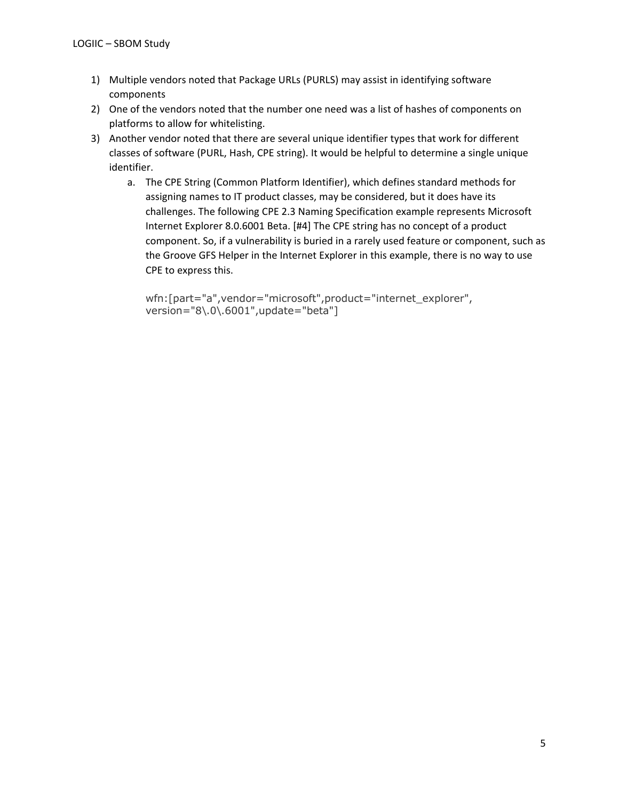- 1) Multiple vendors noted that Package URLs (PURLS) may assist in identifying software components
- 2) One of the vendors noted that the number one need was a list of hashes of components on platforms to allow for whitelisting.
- 3) Another vendor noted that there are several unique identifier types that work for different classes of software (PURL, Hash, CPE string). It would be helpful to determine a single unique identifier.
	- a. The CPE String (Common Platform Identifier), which defines standard methods for assigning names to IT product classes, may be considered, but it does have its challenges. The following CPE 2.3 Naming Specification example represents Microsoft Internet Explorer 8.0.6001 Beta. [#4] The CPE string has no concept of a product component. So, if a vulnerability is buried in a rarely used feature or component, such as the Groove GFS Helper in the Internet Explorer in this example, there is no way to use CPE to express this.

wfn:[part="a",vendor="microsoft",product="internet\_explorer", version="8\.0\.6001",update="beta"]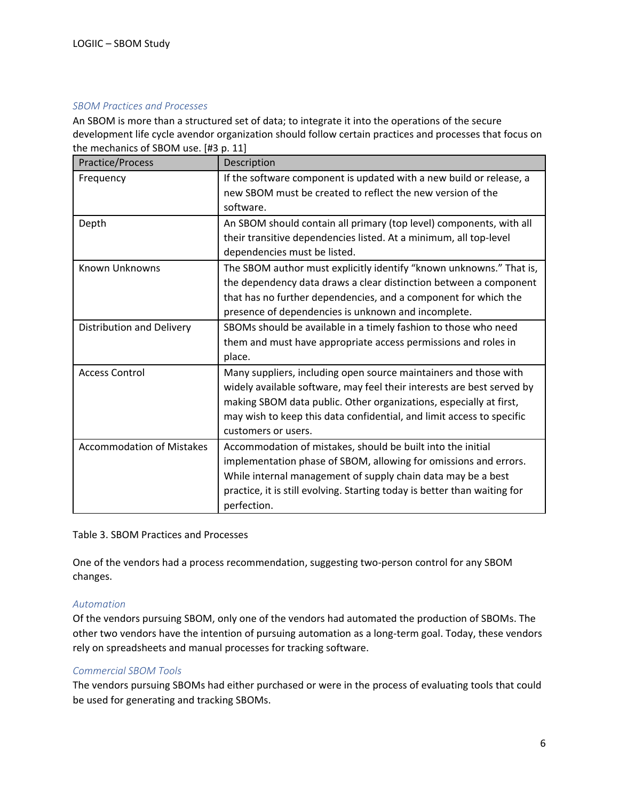#### *SBOM Practices and Processes*

An SBOM is more than a structured set of data; to integrate it into the operations of the secure development life cycle avendor organization should follow certain practices and processes that focus on the mechanics of SBOM use. [#3 p. 11]

| Practice/Process                 | Description                                                                                                                                                                                                                                                                                                      |
|----------------------------------|------------------------------------------------------------------------------------------------------------------------------------------------------------------------------------------------------------------------------------------------------------------------------------------------------------------|
| Frequency                        | If the software component is updated with a new build or release, a<br>new SBOM must be created to reflect the new version of the<br>software.                                                                                                                                                                   |
| Depth                            | An SBOM should contain all primary (top level) components, with all<br>their transitive dependencies listed. At a minimum, all top-level<br>dependencies must be listed.                                                                                                                                         |
| Known Unknowns                   | The SBOM author must explicitly identify "known unknowns." That is,<br>the dependency data draws a clear distinction between a component<br>that has no further dependencies, and a component for which the<br>presence of dependencies is unknown and incomplete.                                               |
| Distribution and Delivery        | SBOMs should be available in a timely fashion to those who need<br>them and must have appropriate access permissions and roles in<br>place.                                                                                                                                                                      |
| <b>Access Control</b>            | Many suppliers, including open source maintainers and those with<br>widely available software, may feel their interests are best served by<br>making SBOM data public. Other organizations, especially at first,<br>may wish to keep this data confidential, and limit access to specific<br>customers or users. |
| <b>Accommodation of Mistakes</b> | Accommodation of mistakes, should be built into the initial<br>implementation phase of SBOM, allowing for omissions and errors.<br>While internal management of supply chain data may be a best<br>practice, it is still evolving. Starting today is better than waiting for<br>perfection.                      |

Table 3. SBOM Practices and Processes

One of the vendors had a process recommendation, suggesting two-person control for any SBOM changes.

## *Automation*

Of the vendors pursuing SBOM, only one of the vendors had automated the production of SBOMs. The other two vendors have the intention of pursuing automation as a long-term goal. Today, these vendors rely on spreadsheets and manual processes for tracking software.

## *Commercial SBOM Tools*

The vendors pursuing SBOMs had either purchased or were in the process of evaluating tools that could be used for generating and tracking SBOMs.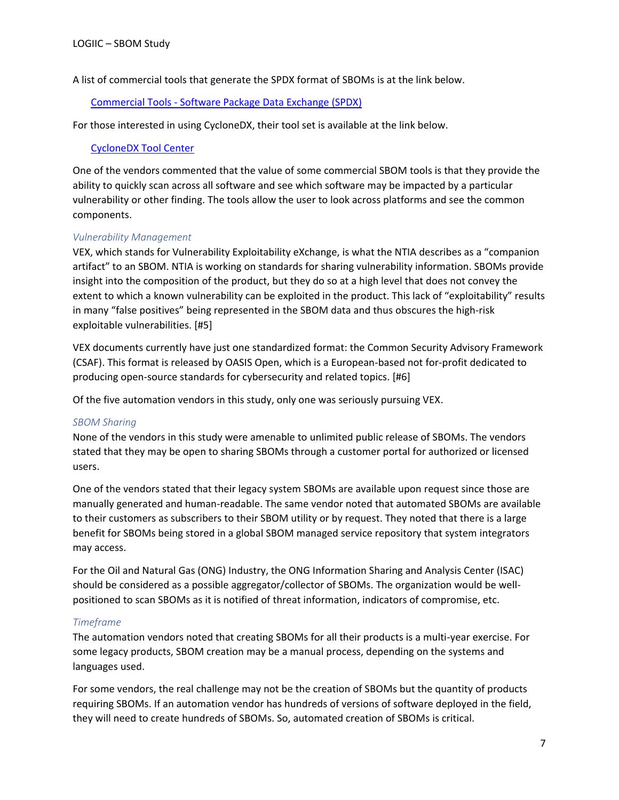A list of commercial tools that generate the SPDX format of SBOMs is at the link below.

## Commercial Tools - [Software Package Data Exchange \(SPDX\)](https://spdx.dev/tools-commercial/)

For those interested in using CycloneDX, their tool set is available at the link below.

#### [CycloneDX Tool Center](https://cyclonedx.org/tool-center/)

One of the vendors commented that the value of some commercial SBOM tools is that they provide the ability to quickly scan across all software and see which software may be impacted by a particular vulnerability or other finding. The tools allow the user to look across platforms and see the common components.

#### *Vulnerability Management*

VEX, which stands for Vulnerability Exploitability eXchange, is what the NTIA describes as a "companion artifact" to an SBOM. NTIA is working on standards for sharing vulnerability information. SBOMs provide insight into the composition of the product, but they do so at a high level that does not convey the extent to which a known vulnerability can be exploited in the product. This lack of "exploitability" results in many "false positives" being represented in the SBOM data and thus obscures the high-risk exploitable vulnerabilities. [#5]

VEX documents currently have just one standardized format: the Common Security Advisory Framework (CSAF). This format is released by OASIS Open, which is a European-based not for-profit dedicated to producing open-source standards for cybersecurity and related topics. [#6]

Of the five automation vendors in this study, only one was seriously pursuing VEX.

#### *SBOM Sharing*

None of the vendors in this study were amenable to unlimited public release of SBOMs. The vendors stated that they may be open to sharing SBOMs through a customer portal for authorized or licensed users.

One of the vendors stated that their legacy system SBOMs are available upon request since those are manually generated and human-readable. The same vendor noted that automated SBOMs are available to their customers as subscribers to their SBOM utility or by request. They noted that there is a large benefit for SBOMs being stored in a global SBOM managed service repository that system integrators may access.

For the Oil and Natural Gas (ONG) Industry, the ONG Information Sharing and Analysis Center (ISAC) should be considered as a possible aggregator/collector of SBOMs. The organization would be wellpositioned to scan SBOMs as it is notified of threat information, indicators of compromise, etc.

## *Timeframe*

The automation vendors noted that creating SBOMs for all their products is a multi-year exercise. For some legacy products, SBOM creation may be a manual process, depending on the systems and languages used.

For some vendors, the real challenge may not be the creation of SBOMs but the quantity of products requiring SBOMs. If an automation vendor has hundreds of versions of software deployed in the field, they will need to create hundreds of SBOMs. So, automated creation of SBOMs is critical.